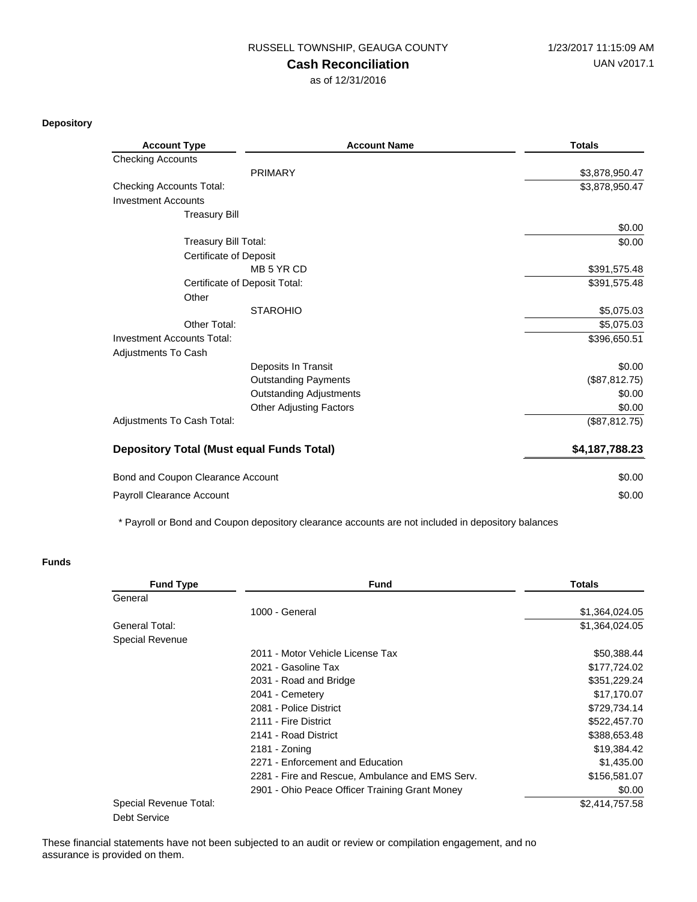## **Cash Reconciliation**

as of 12/31/2016

**Depository**

| <b>Account Type</b>                              | <b>Account Name</b>            | <b>Totals</b>  |
|--------------------------------------------------|--------------------------------|----------------|
| <b>Checking Accounts</b>                         |                                |                |
|                                                  | <b>PRIMARY</b>                 | \$3,878,950.47 |
| <b>Checking Accounts Total:</b>                  |                                | \$3,878,950.47 |
| <b>Investment Accounts</b>                       |                                |                |
| <b>Treasury Bill</b>                             |                                |                |
|                                                  |                                | \$0.00         |
| <b>Treasury Bill Total:</b>                      |                                | \$0.00         |
| <b>Certificate of Deposit</b>                    |                                |                |
|                                                  | MB 5 YR CD                     | \$391,575.48   |
| Certificate of Deposit Total:                    |                                | \$391,575.48   |
| Other                                            |                                |                |
|                                                  | <b>STAROHIO</b>                | \$5,075.03     |
| Other Total:                                     |                                | \$5,075.03     |
| <b>Investment Accounts Total:</b>                |                                | \$396,650.51   |
| <b>Adjustments To Cash</b>                       |                                |                |
|                                                  | Deposits In Transit            | \$0.00         |
|                                                  | <b>Outstanding Payments</b>    | (\$87, 812.75) |
|                                                  | <b>Outstanding Adjustments</b> | \$0.00         |
|                                                  | <b>Other Adjusting Factors</b> | \$0.00         |
| Adjustments To Cash Total:                       |                                | (\$87, 812.75) |
| <b>Depository Total (Must equal Funds Total)</b> |                                | \$4,187,788.23 |
| Bond and Coupon Clearance Account                |                                | \$0.00         |
| Payroll Clearance Account                        |                                | \$0.00         |

\* Payroll or Bond and Coupon depository clearance accounts are not included in depository balances

## **Funds**

| <b>Fund Type</b>       | <b>Fund</b>                                     | <b>Totals</b>  |
|------------------------|-------------------------------------------------|----------------|
| General                |                                                 |                |
|                        | 1000 - General                                  | \$1,364,024.05 |
| General Total:         |                                                 | \$1,364,024.05 |
| Special Revenue        |                                                 |                |
|                        | 2011 - Motor Vehicle License Tax                | \$50,388.44    |
|                        | 2021 - Gasoline Tax                             | \$177,724.02   |
|                        | 2031 - Road and Bridge                          | \$351,229.24   |
|                        | 2041 - Cemetery                                 | \$17,170.07    |
|                        | 2081 - Police District                          | \$729,734.14   |
|                        | 2111 - Fire District                            | \$522,457.70   |
|                        | 2141 - Road District                            | \$388,653.48   |
|                        | 2181 - Zoning                                   | \$19,384.42    |
|                        | 2271 - Enforcement and Education                | \$1,435.00     |
|                        | 2281 - Fire and Rescue, Ambulance and EMS Serv. | \$156,581.07   |
|                        | 2901 - Ohio Peace Officer Training Grant Money  | \$0.00         |
| Special Revenue Total: |                                                 | \$2,414,757.58 |
| Debt Service           |                                                 |                |

These financial statements have not been subjected to an audit or review or compilation engagement, and no assurance is provided on them.